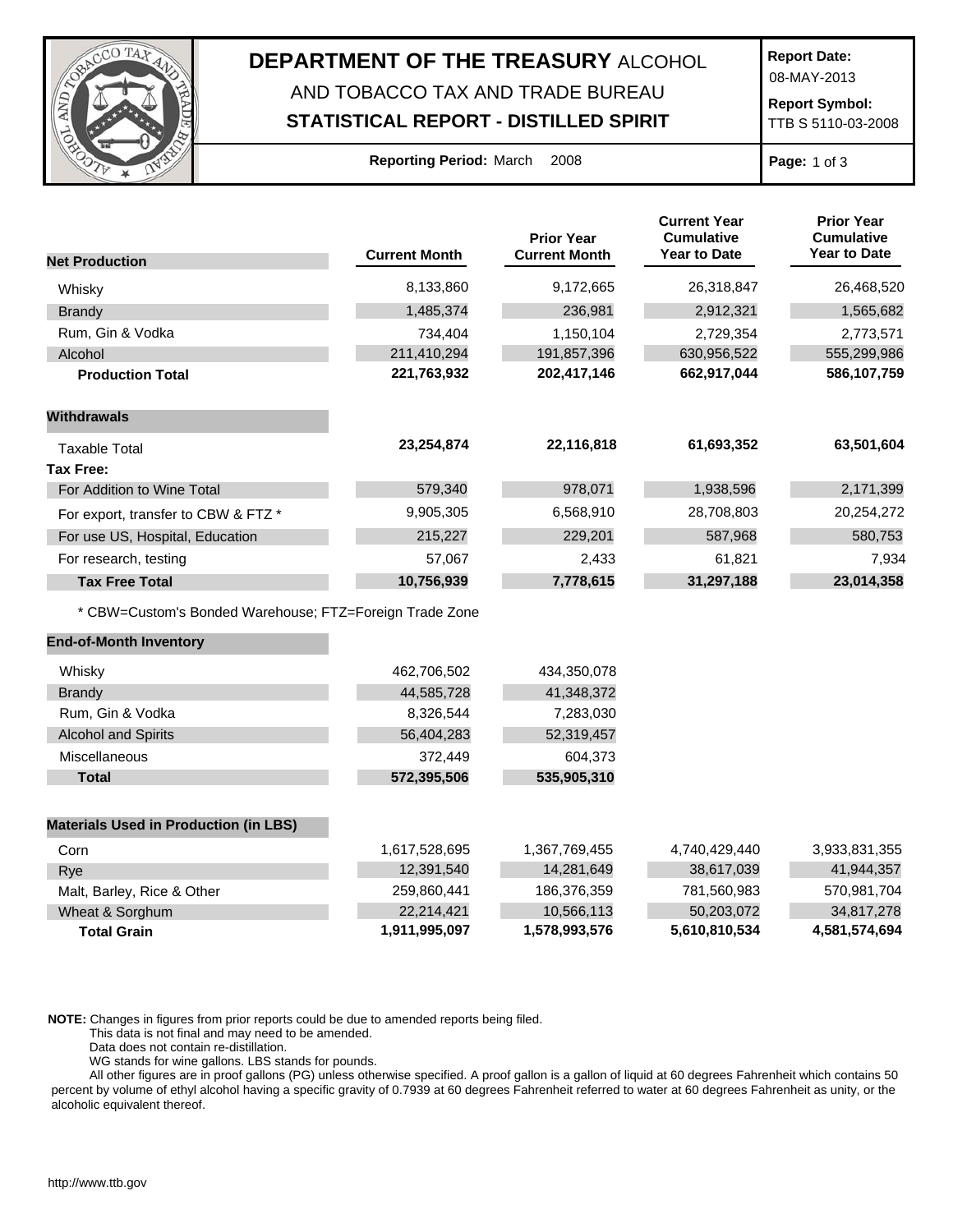

## **DEPARTMENT OF THE TREASURY** ALCOHOL AND TOBACCO TAX AND TRADE BUREAU

## **STATISTICAL REPORT - DISTILLED SPIRIT**

**Report Date:**

08-MAY-2013

**Report Symbol:** TTB S 5110-03-2008

|  | <b>Reporting Period: March</b> |  |  | 2008 |
|--|--------------------------------|--|--|------|
|--|--------------------------------|--|--|------|

**Page:** 1 of 3

|                                                         |                      | <b>Prior Year</b>    | <b>Current Year</b><br><b>Cumulative</b> | <b>Prior Year</b><br><b>Cumulative</b> |
|---------------------------------------------------------|----------------------|----------------------|------------------------------------------|----------------------------------------|
| <b>Net Production</b>                                   | <b>Current Month</b> | <b>Current Month</b> | <b>Year to Date</b>                      | <b>Year to Date</b>                    |
| Whisky                                                  | 8,133,860            | 9,172,665            | 26,318,847                               | 26,468,520                             |
| <b>Brandy</b>                                           | 1,485,374            | 236,981              | 2,912,321                                | 1,565,682                              |
| Rum, Gin & Vodka                                        | 734,404              | 1,150,104            | 2,729,354                                | 2,773,571                              |
| Alcohol                                                 | 211,410,294          | 191,857,396          | 630,956,522                              | 555,299,986                            |
| <b>Production Total</b>                                 | 221,763,932          | 202,417,146          | 662,917,044                              | 586,107,759                            |
| <b>Withdrawals</b>                                      |                      |                      |                                          |                                        |
| <b>Taxable Total</b>                                    | 23,254,874           | 22,116,818           | 61,693,352                               | 63,501,604                             |
| <b>Tax Free:</b>                                        |                      |                      |                                          |                                        |
| For Addition to Wine Total                              | 579,340              | 978,071              | 1,938,596                                | 2,171,399                              |
| For export, transfer to CBW & FTZ *                     | 9,905,305            | 6,568,910            | 28,708,803                               | 20,254,272                             |
| For use US, Hospital, Education                         | 215,227              | 229,201              | 587,968                                  | 580,753                                |
| For research, testing                                   | 57,067               | 2,433                | 61,821                                   | 7,934                                  |
| <b>Tax Free Total</b>                                   | 10,756,939           | 7,778,615            | 31,297,188                               | 23,014,358                             |
| * CBW=Custom's Bonded Warehouse; FTZ=Foreign Trade Zone |                      |                      |                                          |                                        |
| <b>End-of-Month Inventory</b>                           |                      |                      |                                          |                                        |
| Whisky                                                  | 462,706,502          | 434,350,078          |                                          |                                        |
| <b>Brandy</b>                                           | 44,585,728           | 41,348,372           |                                          |                                        |
| Rum, Gin & Vodka                                        | 8,326,544            | 7,283,030            |                                          |                                        |
| <b>Alcohol and Spirits</b>                              | 56,404,283           | 52,319,457           |                                          |                                        |
| Miscellaneous                                           | 372,449              | 604,373              |                                          |                                        |
| <b>Total</b>                                            | 572,395,506          | 535,905,310          |                                          |                                        |
| <b>Materials Used in Production (in LBS)</b>            |                      |                      |                                          |                                        |
| Corn                                                    | 1,617,528,695        | 1,367,769,455        | 4,740,429,440                            | 3,933,831,355                          |
| Rye                                                     | 12,391,540           | 14,281,649           | 38,617,039                               | 41,944,357                             |
| Malt, Barley, Rice & Other                              | 259,860,441          | 186,376,359          | 781,560,983                              | 570,981,704                            |
| Wheat & Sorghum                                         | 22,214,421           | 10,566,113           | 50,203,072                               | 34,817,278                             |
| <b>Total Grain</b>                                      | 1,911,995,097        | 1,578,993,576        | 5,610,810,534                            | 4,581,574,694                          |

**NOTE:** Changes in figures from prior reports could be due to amended reports being filed.

This data is not final and may need to be amended.

Data does not contain re-distillation.

WG stands for wine gallons. LBS stands for pounds.

All other figures are in proof gallons (PG) unless otherwise specified. A proof gallon is a gallon of liquid at 60 degrees Fahrenheit which contains 50 percent by volume of ethyl alcohol having a specific gravity of 0.7939 at 60 degrees Fahrenheit referred to water at 60 degrees Fahrenheit as unity, or the alcoholic equivalent thereof.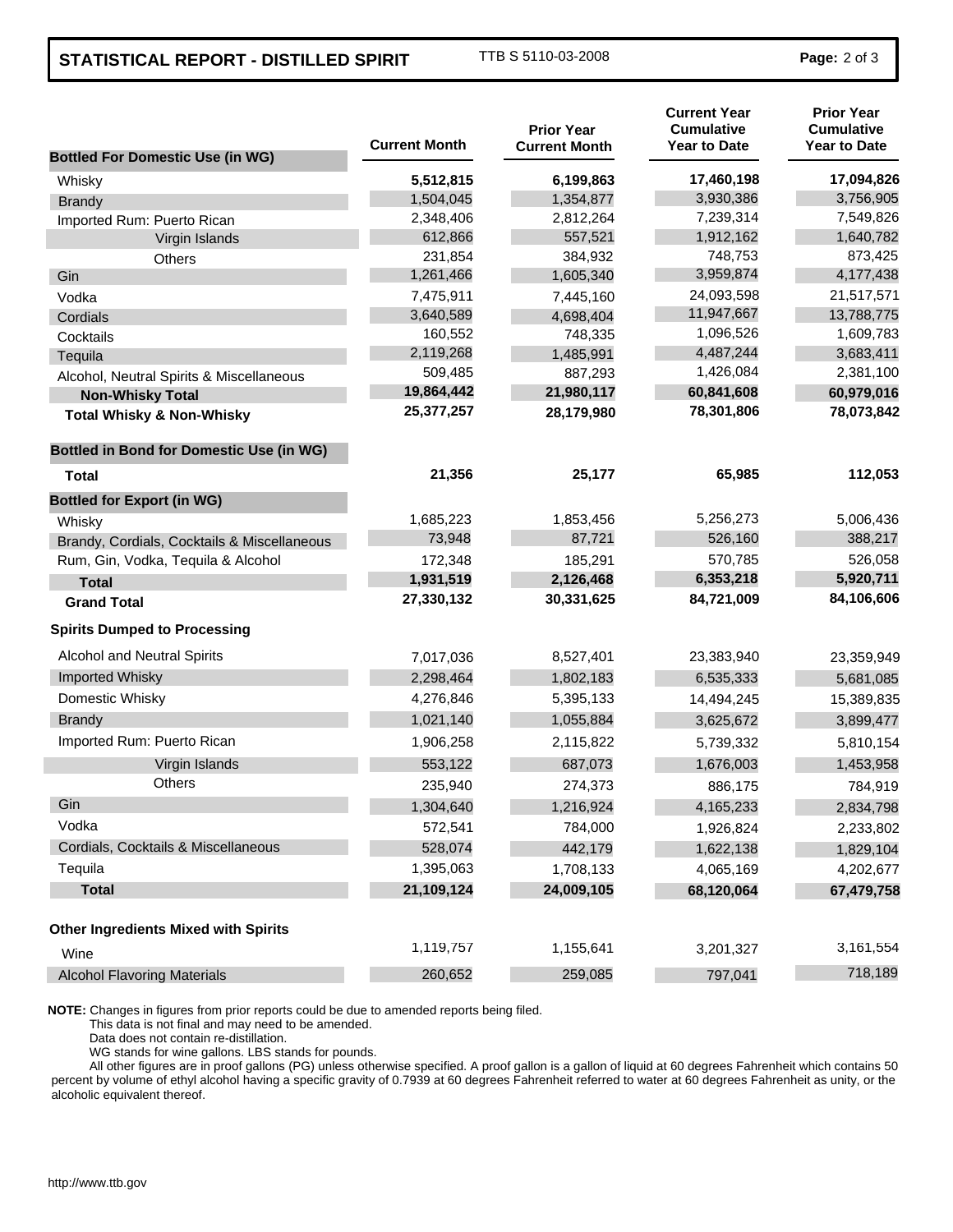## **STATISTICAL REPORT - DISTILLED SPIRIT** TTB S 5110-03-2008 **Page:** 2 of 3

| <b>Bottled For Domestic Use (in WG)</b>         | <b>Current Month</b> | <b>Prior Year</b><br><b>Current Month</b> | <b>Current Year</b><br><b>Cumulative</b><br><b>Year to Date</b> | <b>Prior Year</b><br><b>Cumulative</b><br><b>Year to Date</b> |
|-------------------------------------------------|----------------------|-------------------------------------------|-----------------------------------------------------------------|---------------------------------------------------------------|
| Whisky                                          | 5,512,815            | 6,199,863                                 | 17,460,198                                                      | 17,094,826                                                    |
| <b>Brandy</b>                                   | 1,504,045            | 1,354,877                                 | 3,930,386                                                       | 3,756,905                                                     |
| Imported Rum: Puerto Rican                      | 2,348,406            | 2,812,264                                 | 7,239,314                                                       | 7,549,826                                                     |
| Virgin Islands                                  | 612,866              | 557,521                                   | 1,912,162                                                       | 1,640,782                                                     |
| Others                                          | 231,854              | 384,932                                   | 748,753                                                         | 873,425                                                       |
| Gin                                             | 1,261,466            | 1,605,340                                 | 3,959,874                                                       | 4,177,438                                                     |
| Vodka                                           | 7,475,911            | 7,445,160                                 | 24,093,598                                                      | 21,517,571                                                    |
| Cordials                                        | 3,640,589            | 4,698,404                                 | 11,947,667                                                      | 13,788,775                                                    |
| Cocktails                                       | 160,552              | 748,335                                   | 1,096,526                                                       | 1,609,783                                                     |
| Tequila                                         | 2,119,268            | 1,485,991                                 | 4,487,244                                                       | 3,683,411                                                     |
| Alcohol, Neutral Spirits & Miscellaneous        | 509,485              | 887,293                                   | 1,426,084                                                       | 2,381,100                                                     |
| <b>Non-Whisky Total</b>                         | 19,864,442           | 21,980,117                                | 60,841,608                                                      | 60,979,016                                                    |
| <b>Total Whisky &amp; Non-Whisky</b>            | 25,377,257           | 28,179,980                                | 78,301,806                                                      | 78,073,842                                                    |
| <b>Bottled in Bond for Domestic Use (in WG)</b> |                      |                                           |                                                                 |                                                               |
| Total                                           | 21,356               | 25,177                                    | 65,985                                                          | 112,053                                                       |
| <b>Bottled for Export (in WG)</b>               |                      |                                           |                                                                 |                                                               |
| Whisky                                          | 1,685,223            | 1,853,456                                 | 5,256,273                                                       | 5,006,436                                                     |
| Brandy, Cordials, Cocktails & Miscellaneous     | 73,948               | 87,721                                    | 526,160                                                         | 388,217                                                       |
| Rum, Gin, Vodka, Tequila & Alcohol              | 172,348              | 185,291                                   | 570,785                                                         | 526,058                                                       |
| <b>Total</b>                                    | 1,931,519            | 2,126,468                                 | 6,353,218                                                       | 5,920,711                                                     |
| <b>Grand Total</b>                              | 27,330,132           | 30,331,625                                | 84,721,009                                                      | 84,106,606                                                    |
| <b>Spirits Dumped to Processing</b>             |                      |                                           |                                                                 |                                                               |
| Alcohol and Neutral Spirits                     | 7,017,036            | 8,527,401                                 | 23,383,940                                                      | 23,359,949                                                    |
| Imported Whisky                                 | 2,298,464            | 1,802,183                                 | 6,535,333                                                       | 5,681,085                                                     |
| Domestic Whisky                                 | 4,276,846            | 5,395,133                                 | 14,494,245                                                      | 15,389,835                                                    |
| <b>Brandy</b>                                   | 1,021,140            | 1,055,884                                 | 3,625,672                                                       | 3,899,477                                                     |
| Imported Rum: Puerto Rican                      | 1,906,258            | 2,115,822                                 | 5,739,332                                                       | 5,810,154                                                     |
| Virgin Islands                                  | 553,122              | 687,073                                   | 1,676,003                                                       | 1,453,958                                                     |
| <b>Others</b>                                   | 235,940              | 274,373                                   | 886,175                                                         | 784,919                                                       |
| Gin                                             | 1,304,640            | 1,216,924                                 | 4,165,233                                                       | 2,834,798                                                     |
| Vodka                                           | 572,541              | 784,000                                   | 1,926,824                                                       | 2,233,802                                                     |
| Cordials, Cocktails & Miscellaneous             | 528,074              | 442,179                                   | 1,622,138                                                       | 1,829,104                                                     |
| Tequila                                         | 1,395,063            | 1,708,133                                 | 4,065,169                                                       | 4,202,677                                                     |
| <b>Total</b>                                    | 21,109,124           | 24,009,105                                | 68,120,064                                                      | 67,479,758                                                    |
| <b>Other Ingredients Mixed with Spirits</b>     |                      |                                           |                                                                 |                                                               |
| Wine                                            | 1,119,757            | 1,155,641                                 | 3,201,327                                                       | 3,161,554                                                     |
| <b>Alcohol Flavoring Materials</b>              | 260,652              | 259,085                                   | 797,041                                                         | 718,189                                                       |

**NOTE:** Changes in figures from prior reports could be due to amended reports being filed.

This data is not final and may need to be amended.

Data does not contain re-distillation.

WG stands for wine gallons. LBS stands for pounds.

All other figures are in proof gallons (PG) unless otherwise specified. A proof gallon is a gallon of liquid at 60 degrees Fahrenheit which contains 50 percent by volume of ethyl alcohol having a specific gravity of 0.7939 at 60 degrees Fahrenheit referred to water at 60 degrees Fahrenheit as unity, or the alcoholic equivalent thereof.